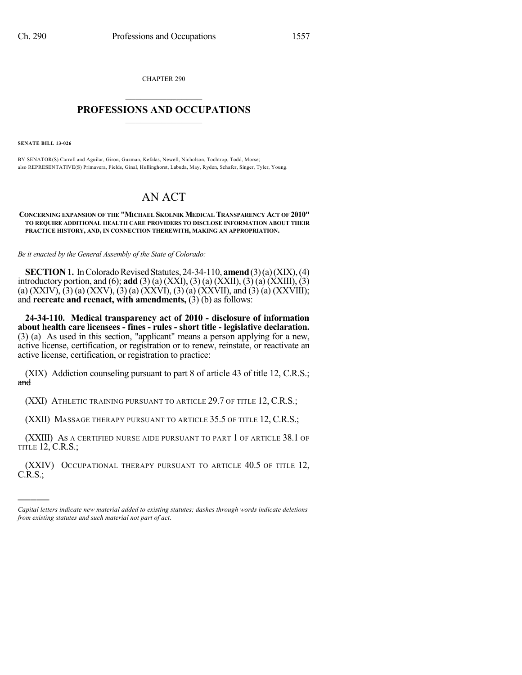CHAPTER 290  $\overline{\phantom{a}}$  . The set of the set of the set of the set of the set of the set of the set of the set of the set of the set of the set of the set of the set of the set of the set of the set of the set of the set of the set o

## **PROFESSIONS AND OCCUPATIONS**  $\frac{1}{2}$  ,  $\frac{1}{2}$  ,  $\frac{1}{2}$  ,  $\frac{1}{2}$  ,  $\frac{1}{2}$  ,  $\frac{1}{2}$

**SENATE BILL 13-026**

)))))

BY SENATOR(S) Carroll and Aguilar, Giron, Guzman, Kefalas, Newell, Nicholson, Tochtrop, Todd, Morse; also REPRESENTATIVE(S) Primavera, Fields, Ginal, Hullinghorst, Labuda, May, Ryden, Schafer, Singer, Tyler, Young.

## AN ACT

## **CONCERNING EXPANSION OF THE "MICHAEL SKOLNIK MEDICAL TRANSPARENCY ACT OF 2010" TO REQUIRE ADDITIONAL HEALTH CARE PROVIDERS TO DISCLOSE INFORMATION ABOUT THEIR PRACTICE HISTORY, AND, IN CONNECTION THEREWITH, MAKING AN APPROPRIATION.**

*Be it enacted by the General Assembly of the State of Colorado:*

**SECTION 1.** In Colorado Revised Statutes, 24-34-110, **amend**  $(3)$  (a) (XIX), (4) introductory portion, and (6); **add** (3) (a) (XXI), (3) (a) (XXII), (3) (a) (XXIII), (3) (a)  $(XXIV)$ ,  $(3)$  (a)  $(XXV)$ ,  $(3)$  (a)  $(XXVI)$ ,  $(3)$  (a)  $(XXVII)$ , and  $(3)$  (a)  $(XXVIII)$ ; and **recreate and reenact, with amendments,** (3) (b) as follows:

**24-34-110. Medical transparency act of 2010 - disclosure of information about health care licensees - fines - rules - short title - legislative declaration.** (3) (a) As used in this section, "applicant" means a person applying for a new, active license, certification, or registration or to renew, reinstate, or reactivate an active license, certification, or registration to practice:

(XIX) Addiction counseling pursuant to part 8 of article 43 of title 12, C.R.S.; and

(XXI) ATHLETIC TRAINING PURSUANT TO ARTICLE 29.7 OF TITLE 12, C.R.S.;

(XXII) MASSAGE THERAPY PURSUANT TO ARTICLE 35.5 OF TITLE 12, C.R.S.;

(XXIII) AS A CERTIFIED NURSE AIDE PURSUANT TO PART 1 OF ARTICLE 38.1 OF TITLE 12, C.R.S.;

(XXIV) OCCUPATIONAL THERAPY PURSUANT TO ARTICLE 40.5 OF TITLE 12, C.R.S.;

*Capital letters indicate new material added to existing statutes; dashes through words indicate deletions from existing statutes and such material not part of act.*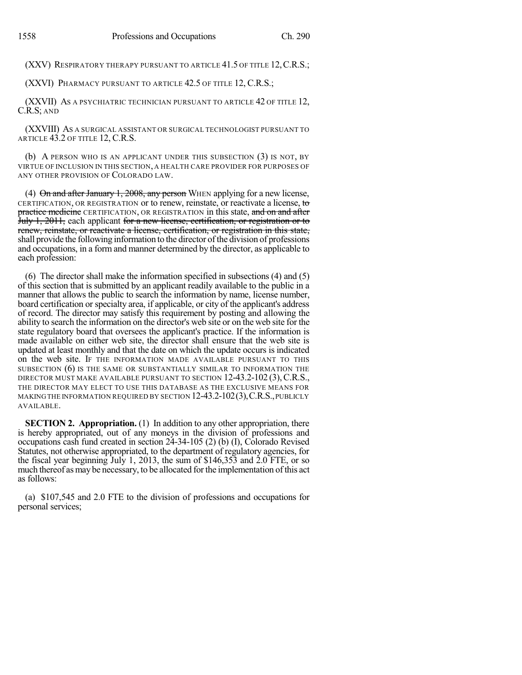(XXV) RESPIRATORY THERAPY PURSUANT TO ARTICLE 41.5 OF TITLE 12, C.R.S.;

(XXVI) PHARMACY PURSUANT TO ARTICLE 42.5 OF TITLE 12, C.R.S.;

(XXVII) AS A PSYCHIATRIC TECHNICIAN PURSUANT TO ARTICLE 42 OF TITLE 12, C.R.S; AND

(XXVIII) AS A SURGICAL ASSISTANT OR SURGICAL TECHNOLOGIST PURSUANT TO ARTICLE 43.2 OF TITLE 12, C.R.S.

(b) A PERSON WHO IS AN APPLICANT UNDER THIS SUBSECTION (3) IS NOT, BY VIRTUE OF INCLUSION IN THIS SECTION, A HEALTH CARE PROVIDER FOR PURPOSES OF ANY OTHER PROVISION OF COLORADO LAW.

(4)  $\Theta$ n and after January 1, 2008, any person WHEN applying for a new license, CERTIFICATION, OR REGISTRATION or to renew, reinstate, or reactivate a license, to practice medicine CERTIFICATION, OR REGISTRATION in this state, and on and after July 1, 2011, each applicant for a new license, certification, or registration or to renew, reinstate, or reactivate a license, certification, or registration in this state, shall provide the following information to the director of the division of professions and occupations, in a form and manner determined by the director, as applicable to each profession:

(6) The director shall make the information specified in subsections (4) and (5) of this section that is submitted by an applicant readily available to the public in a manner that allows the public to search the information by name, license number, board certification or specialty area, if applicable, or city of the applicant's address of record. The director may satisfy this requirement by posting and allowing the ability to search the information on the director's web site or on the web site for the state regulatory board that oversees the applicant's practice. If the information is made available on either web site, the director shall ensure that the web site is updated at least monthly and that the date on which the update occurs is indicated on the web site. IF THE INFORMATION MADE AVAILABLE PURSUANT TO THIS SUBSECTION (6) IS THE SAME OR SUBSTANTIALLY SIMILAR TO INFORMATION THE DIRECTOR MUST MAKE AVAILABLE PURSUANT TO SECTION 12-43.2-102 (3), C.R.S., THE DIRECTOR MAY ELECT TO USE THIS DATABASE AS THE EXCLUSIVE MEANS FOR MAKINGTHE INFORMATION REQUIRED BY SECTION 12-43.2-102(3),C.R.S.,PUBLICLY AVAILABLE.

**SECTION 2. Appropriation.** (1) In addition to any other appropriation, there is hereby appropriated, out of any moneys in the division of professions and occupations cash fund created in section 24-34-105 (2) (b) (I), Colorado Revised Statutes, not otherwise appropriated, to the department of regulatory agencies, for the fiscal year beginning July 1, 2013, the sum of \$146,353 and 2.0 FTE, or so much thereof as may be necessary, to be allocated forthe implementation ofthis act as follows:

(a) \$107,545 and 2.0 FTE to the division of professions and occupations for personal services;